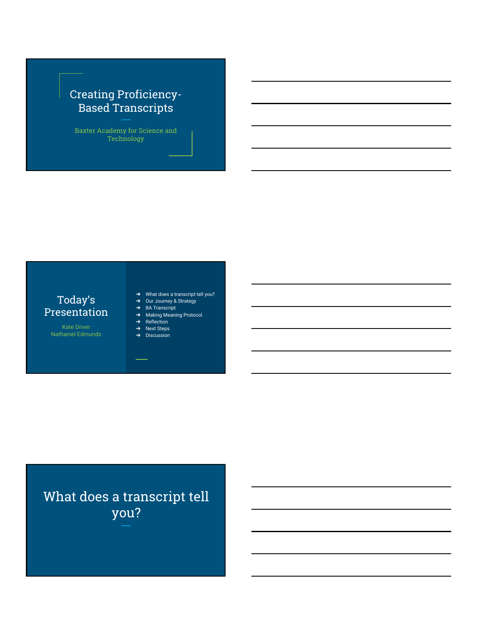# Creating Proficiency-Based Transcripts

Baxter Academy for Science and Technology

# Today's Presentation

Kate Driver Nathaniel Edmunds

- → What does a transcript tell you?
- ➔ Our Journey & Strategy ➔ BA Transcript
- ➔ Making Meaning Protocol
- ➔ Reflection
- ➔ Next Steps ➔ Discussion

# What does a transcript tell you?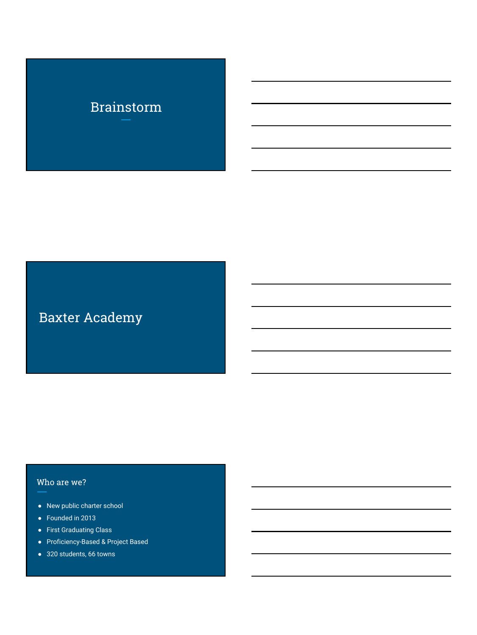# Brainstorm

# Baxter Academy

# Who are we?

- New public charter school
- Founded in 2013
- First Graduating Class
- Proficiency-Based & Project Based
- 320 students, 66 towns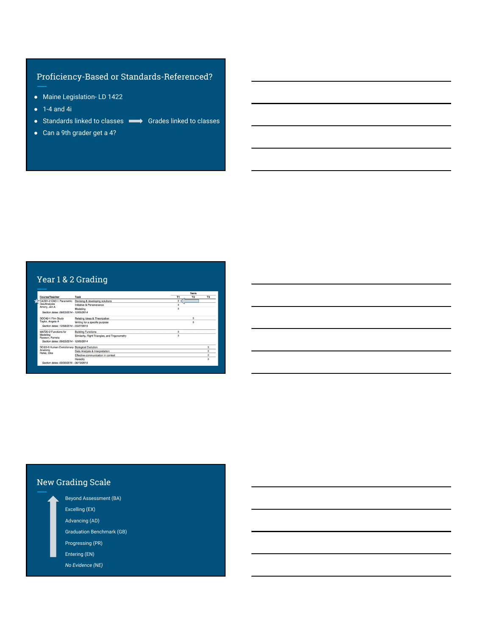# Proficiency-Based or Standards-Referenced?

- Maine Legislation- LD 1422
- $\bullet$  1-4 and 4i
- Standards linked to classes Grades linked to classes
- Can a 9th grader get a 4?

# Year 1 & 2 Grading

|                                                 |                                               |              | Term               |                         |
|-------------------------------------------------|-----------------------------------------------|--------------|--------------------|-------------------------|
| Course/Teacher                                  | Task                                          | T1           | T <sub>2</sub>     | T3                      |
| CAD01-2 CAD I: Parametric                       | Devising & developing solutions               | 3            |                    |                         |
| Des/Analysis<br>Amory, Jon A                    | Initiative & Perseverance                     | 3            |                    |                         |
|                                                 | Modeling                                      | 3            |                    |                         |
| Section dates: 09/03/2014 - 12/05/2014          |                                               |              |                    |                         |
| SOC42-1 Film Study                              | Relating Ideas & Theorization                 |              | ä                  |                         |
| Taylor, Angela A                                | Writing for a specific purpose                |              | $\mathbf{\hat{z}}$ |                         |
| Section dates: 12/08/2014 - 03/27/2015          |                                               |              |                    |                         |
| MAT20-2 Functions for                           | <b>Building Functions</b>                     | 3            |                    |                         |
| Modeling<br>Rawson, Pamela                      | Similarity, Right Triangles, and Trigonometry | <sub>3</sub> |                    |                         |
| Section dates: 09/03/2014 - 12/05/2014          |                                               |              |                    |                         |
| SCI22-6 Human Evolutionary Biological Evolution |                                               |              |                    | 3                       |
| Anatomy                                         | Data Analysis & Interpretation                |              |                    | $\mathbf{a}$            |
| Perks, Elke                                     | Effective communication in context            |              |                    | $\mathbf{a}$            |
|                                                 | Heredity                                      |              |                    | $\overline{\mathbf{a}}$ |
| Section dates: 03/30/2015 - 06/19/2015          |                                               |              |                    |                         |

# New Grading Scale

- Beyond Assessment (BA) Excelling (EX) Advancing (AD) Graduation Benchmark (GB) Progressing (PR) Entering (EN)
- *No Evidence (NE)*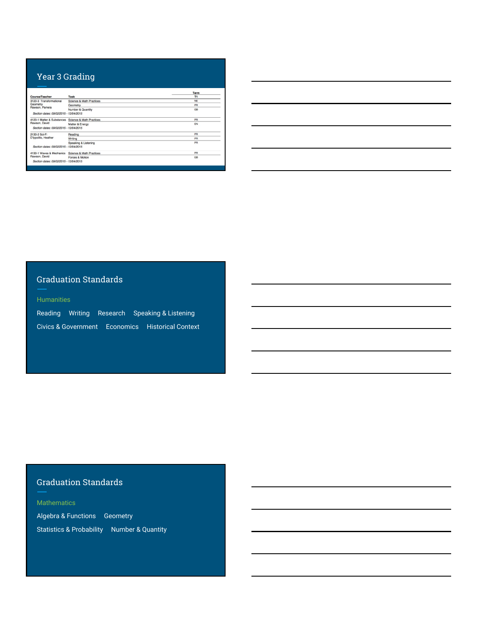## Year 3 Grading

| Course/Teacher                                           | Task                     | Term<br>T1 |
|----------------------------------------------------------|--------------------------|------------|
| 3120-3 Transformational                                  | Science & Math Practices | <b>NF</b>  |
| Geometry                                                 | Geometry                 | PR         |
| Rawson, Pamela<br>Section dates: 09/02/2015 - 12/04/2015 | Number & Quantity        | <b>GB</b>  |
| 4120-1 Matter & Substances Science & Math Practices      |                          | PR         |
| Rawson, David<br>Section dates: 09/02/2015 - 12/04/2015  | Matter & Energy          | EN         |
| 2130-2 Sci-Fi                                            | Reading                  | PR         |
| D'Ippolito, Heather                                      | Writing                  | PR         |
| Section dates: 09/02/2015 - 12/04/2015                   | Speaking & Listening     | PR         |
| 4130-1 Wayes & Mechanics                                 | Science & Math Practices | PR         |
| Rawson, David                                            | Forces & Motion          | GB         |
| Section dates: 09/02/2015 - 12/04/2015                   |                          |            |

# Graduation Standards

Reading Writing Research Speaking & Listening Civics & Government Economics Historical Context

# Graduation Standards

**Mathematics** 

Algebra & Functions Geometry Statistics & Probability Number & Quantity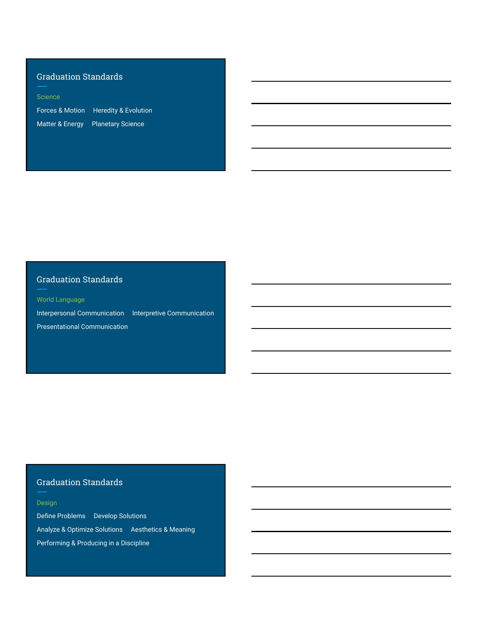# Graduation Standards

#### Science

Forces & Motion Heredity & Evolution Matter & Energy Planetary Science

# Graduation Standards

World Language

Interpersonal Communication Interpretive Communication Presentational Communication

# Graduation Standards

#### Design

Define Problems Develop Solutions Analyze & Optimize Solutions Aesthetics & Meaning Performing & Producing in a Discipline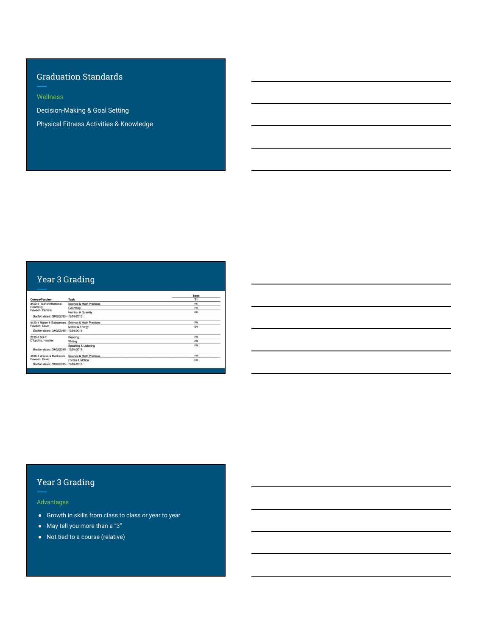# Graduation Standards

Decision-Making & Goal Setting

Physical Fitness Activities & Knowledge

# Year 3 Grading

|                                             |                          | Term      |
|---------------------------------------------|--------------------------|-----------|
| <b>Course/Teacher</b>                       | Task                     | T1        |
| 3120-3 Transformational<br>Geometry         | Science & Math Practices | <b>NF</b> |
|                                             | Geometry                 | PR        |
| Rawson, Pamela                              | Number & Quantity        | <b>GB</b> |
| Section dates: 09/02/2015 - 12/04/2015      |                          |           |
| 4120-1 Matter & Substances<br>Rawson, David | Science & Math Practices | PR        |
|                                             | Matter & Energy          | FN        |
| Section dates: 09/02/2015 - 12/04/2015      |                          |           |
| 2130-2 Sci-Fi                               | Reading                  | PR        |
| D'Ippolito, Heather                         | Writing                  | PR        |
|                                             | Speaking & Listening     | PR        |
| Section dates: 09/02/2015 - 12/04/2015      |                          |           |
| 4130-1 Wayes & Mechanics                    | Science & Math Practices | PR        |
| Rawson, David                               | Forces & Motion          | GB        |
| Section dates: 09/02/2015 - 12/04/2015      |                          |           |

# Year 3 Grading

Advantages

- Growth in skills from class to class or year to year
- May tell you more than a "3"
- Not tied to a course (relative)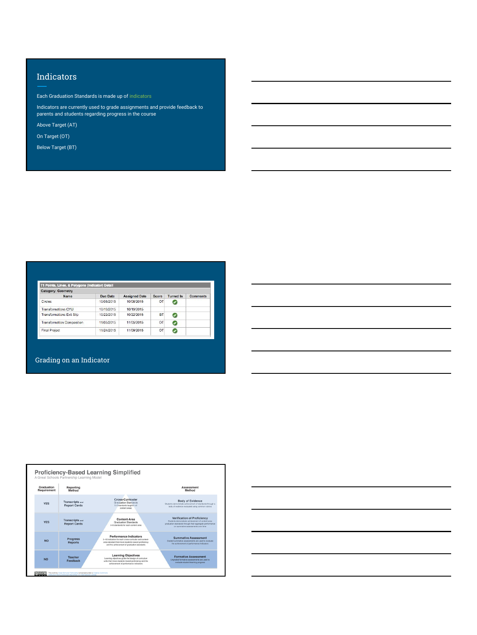## **Indicators**

Each Graduation Standards is made up of indicators

Indicators are currently used to grade assignments and provide feedback to parents and students regarding progress in the course

Above Target (AT)

On Target (OT)

Below Target (BT)

| <b>Category: Geometry</b>         |            |                      |       |                  |                 |
|-----------------------------------|------------|----------------------|-------|------------------|-----------------|
| Name                              | Due Date   | <b>Assigned Date</b> | Score | <b>Turned In</b> | <b>Comments</b> |
| Circles                           | 10/08/2015 | 10/08/2015           | OT    |                  |                 |
| <b>Transformations CYU</b>        | 10/19/2015 | 10/19/2015           |       |                  |                 |
| <b>Transformations Exit Slip</b>  | 10/22/2015 | 10/22/2015           | BT    | G                |                 |
| <b>Transformation Composition</b> | 11/05/2015 | 11/05/2015           | OT    | C                |                 |
| Final Project                     | 11/24/2015 | 11/09/2015           | OT    |                  |                 |

|                                                                                                                                                                      | the control of the control of the control of the control of the control of the control of the control of the control of the control of the control of the control of the control of the control of the control of the control |  |  |
|----------------------------------------------------------------------------------------------------------------------------------------------------------------------|-------------------------------------------------------------------------------------------------------------------------------------------------------------------------------------------------------------------------------|--|--|
|                                                                                                                                                                      |                                                                                                                                                                                                                               |  |  |
|                                                                                                                                                                      |                                                                                                                                                                                                                               |  |  |
|                                                                                                                                                                      |                                                                                                                                                                                                                               |  |  |
|                                                                                                                                                                      |                                                                                                                                                                                                                               |  |  |
|                                                                                                                                                                      |                                                                                                                                                                                                                               |  |  |
|                                                                                                                                                                      |                                                                                                                                                                                                                               |  |  |
|                                                                                                                                                                      |                                                                                                                                                                                                                               |  |  |
|                                                                                                                                                                      |                                                                                                                                                                                                                               |  |  |
| <u> 1989 - Johann Stoff, amerikansk politiker (d. 1989)</u>                                                                                                          |                                                                                                                                                                                                                               |  |  |
|                                                                                                                                                                      |                                                                                                                                                                                                                               |  |  |
|                                                                                                                                                                      |                                                                                                                                                                                                                               |  |  |
|                                                                                                                                                                      |                                                                                                                                                                                                                               |  |  |
|                                                                                                                                                                      |                                                                                                                                                                                                                               |  |  |
| ,我们也不会有一个人的事情。""我们的人们,我们也不会有一个人的人,我们也不会有一个人的人,我们也不会有一个人的人,我们也不会有一个人的人,我们也不会有一个人的<br>第一百一十一章 我们的人,我们的人们的人们,我们的人们的人们的人们,我们的人们的人们的人们,我们的人们的人们,我们的人们的人们,我们的人们的人们,我们的人们的人 |                                                                                                                                                                                                                               |  |  |
|                                                                                                                                                                      |                                                                                                                                                                                                                               |  |  |
|                                                                                                                                                                      |                                                                                                                                                                                                                               |  |  |
|                                                                                                                                                                      |                                                                                                                                                                                                                               |  |  |
|                                                                                                                                                                      |                                                                                                                                                                                                                               |  |  |
|                                                                                                                                                                      |                                                                                                                                                                                                                               |  |  |

#### Grading on an Indicator



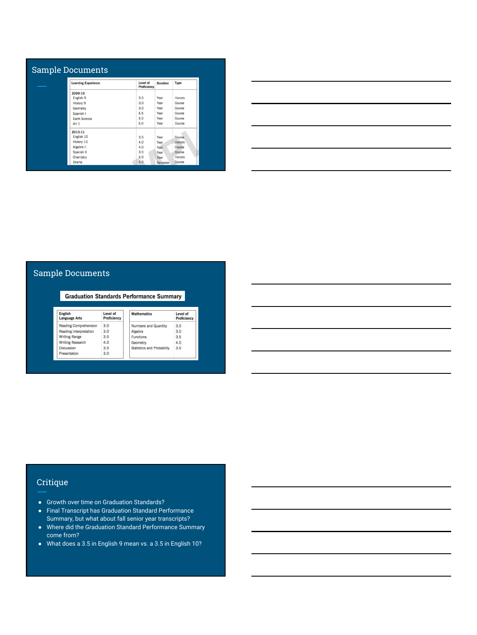| <b>Learning Experience</b> | Level of<br><b>Proficiency</b> | <b>Duration</b> | Type   |
|----------------------------|--------------------------------|-----------------|--------|
| 2009-10                    |                                |                 |        |
| English <sub>9</sub>       | 3.5                            | Year            | Honors |
| History 9                  | 3.0                            | Year            | Course |
| Geometry                   | 3.0                            | Year            | Course |
| Spanish I                  | 3.5                            | Year            | Course |
| Earth Science              | 3.0                            | Year            | Course |
| Art 1                      | 3.0                            | Year            | Course |
| 2010-11                    |                                |                 |        |
| English 10                 | 3.5                            | Year            | Course |
| History 10                 | 4.0                            | Year            | Honors |
| Algebra II                 | 4.0                            | Year            | Course |
| Spanish II                 | 3.5                            | Year            | Course |
| Chemistry                  | 4.0                            | Year            | Honors |
| Drama                      | 4.0                            | Semester        | Course |

| <u> 1989 - Andrea Andrew Maria (h. 1989).</u>                                                                         |  |  |
|-----------------------------------------------------------------------------------------------------------------------|--|--|
|                                                                                                                       |  |  |
|                                                                                                                       |  |  |
| <u> 1989 - Johann Harry Harry Harry Harry Harry Harry Harry Harry Harry Harry Harry Harry Harry Harry Harry Harry</u> |  |  |
|                                                                                                                       |  |  |
| <u> 1989 - Johann Stoff, deutscher Stoffen und der Stoffen und der Stoffen und der Stoffen und der Stoffen und de</u> |  |  |
|                                                                                                                       |  |  |
|                                                                                                                       |  |  |
| <u> 1989 - Johann Harry Harry Harry Harry Harry Harry Harry Harry Harry Harry Harry Harry Harry Harry Harry Harry</u> |  |  |
|                                                                                                                       |  |  |
|                                                                                                                       |  |  |

## Sample Documents

**Graduation Standards Performance Summary** English<br>Language Arts Level of<br>Proficiency Mathematics Level of<br>Proficiency Reading Comprehension  $3.0$ Numbers and Quantity  $3.0$ Reading Interpretation<br>Writing Range<br>Writing Research  $3.0$ Algebra<br>Functions  $3.0$ 3.5 3.5 Geometry<br>Statistics and Probablity 3.5  $4.0$ Discussion<br>Presentation 3.5  $3.0$ 

| <u> 1989 - Johann Stoff, deutscher Stoff, der Stoff, der Stoff, der Stoff, der Stoff, der Stoff, der Stoff, der S</u> |  |         |
|-----------------------------------------------------------------------------------------------------------------------|--|---------|
|                                                                                                                       |  |         |
|                                                                                                                       |  |         |
|                                                                                                                       |  |         |
| <u> 1989 - Johann Stoff, amerikansk politiker (d. 1989)</u>                                                           |  |         |
|                                                                                                                       |  |         |
|                                                                                                                       |  | _______ |
|                                                                                                                       |  |         |
| and the control of the control of the control of the control of the control of the control of the control of the      |  |         |
|                                                                                                                       |  |         |

## Critique

- Growth over time on Graduation Standards?
- Final Transcript has Graduation Standard Performance Summary, but what about fall senior year transcripts?
- Where did the Graduation Standard Performance Summary come from?
- What does a 3.5 in English 9 mean vs. a 3.5 in English 10?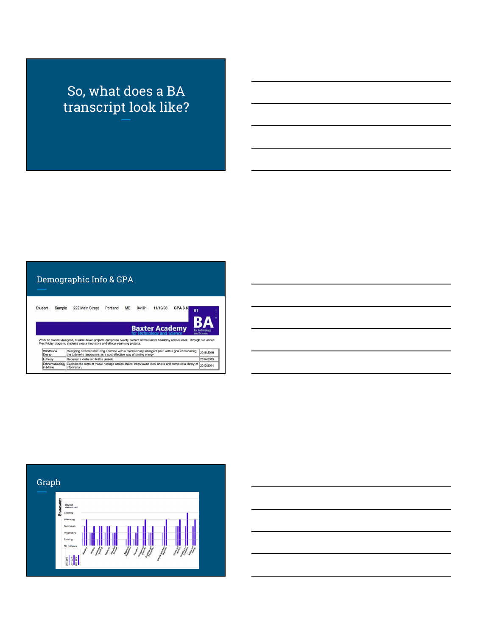# So, what does a BA transcript look like?

# Demographic Info & GPA

| Student             | Sample | 222 Main Street                                                                                                                                                                                                                                                | Portland | <b>ME</b> | 04101 | 11/19/98              | <b>GPA 3.6</b> | 01                            |
|---------------------|--------|----------------------------------------------------------------------------------------------------------------------------------------------------------------------------------------------------------------------------------------------------------------|----------|-----------|-------|-----------------------|----------------|-------------------------------|
|                     |        |                                                                                                                                                                                                                                                                |          |           |       | <b>Baxter Academy</b> |                |                               |
|                     |        | Work on student-designed, student-driven projects comprises twenty percent of the Baxter Academy school week. Through our unique                                                                                                                               |          |           |       |                       |                | for Technology<br>and Science |
| Windblade<br>Design |        | Flex Friday program, students create innovative and ethical year-long projects.<br>Designing and manufacturing a turbine with a mechanically intelligent pitch with a goal of marketing<br>the turbine to landowners as a cost effective way of saving energy. |          |           |       |                       |                | 2015-2016                     |
| Luthiery            |        | Repaired a violin and built a ukulele.                                                                                                                                                                                                                         |          |           |       |                       |                | 2014-2015                     |

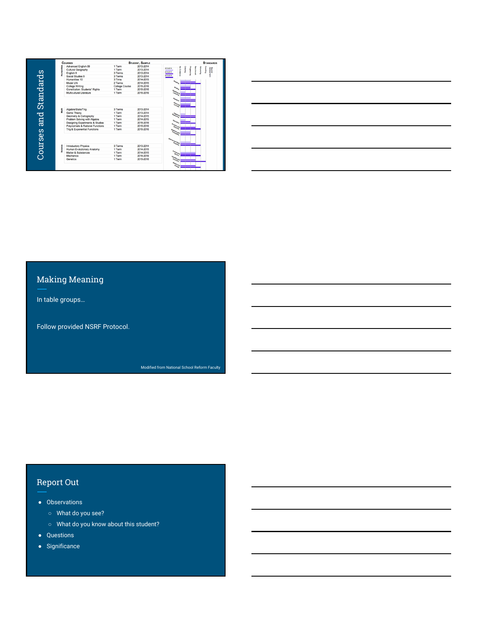| Advanced English 09<br>2013-2014<br>1 Term<br>Despite<br>Beyone<br>2013-2014<br>Cultural Geography<br>1 Term<br>2013-2014<br>2014-2015<br>3 Terms<br>English 9<br>2013-2014<br>2215-2016<br>Social Studies 9<br>3 Terms<br>2013-2014<br>3 Tms<br>2014-2015<br>Humanities 10<br>Model UN<br>2 Terms<br>2014-2015<br>College Writing<br>College Course<br>2015-2016<br>Constitution: Students' Rights<br>1 Term<br>2015-2016<br>Multicultural Literature<br>1 Term<br>2015-2016<br>Mach<br>3 Terms<br>Algebra/Stats/Trig<br>2013-2014<br>1 Term<br>2013-2014<br>Game Theory<br>Geometry & Cartography<br>1 Term<br>2014-2015<br>Problem Solving with Algebra<br>2014-2015<br>1 Term<br>Designing Experiments & Studies<br>1 Term<br>2015-2016<br>Polynomials & Rational Functions<br>2015-2016<br>1 Term<br>Trig & Exponential Functions<br>2015-2016<br>1 Term |   | <b>Courses</b>             |        | <b>STUDENT, SAMPLE</b> | <b>STANDARDS</b> |
|---------------------------------------------------------------------------------------------------------------------------------------------------------------------------------------------------------------------------------------------------------------------------------------------------------------------------------------------------------------------------------------------------------------------------------------------------------------------------------------------------------------------------------------------------------------------------------------------------------------------------------------------------------------------------------------------------------------------------------------------------------------------------------------------------------------------------------------------------------------|---|----------------------------|--------|------------------------|------------------|
|                                                                                                                                                                                                                                                                                                                                                                                                                                                                                                                                                                                                                                                                                                                                                                                                                                                               |   |                            |        |                        |                  |
|                                                                                                                                                                                                                                                                                                                                                                                                                                                                                                                                                                                                                                                                                                                                                                                                                                                               |   |                            |        |                        |                  |
|                                                                                                                                                                                                                                                                                                                                                                                                                                                                                                                                                                                                                                                                                                                                                                                                                                                               |   |                            |        |                        |                  |
|                                                                                                                                                                                                                                                                                                                                                                                                                                                                                                                                                                                                                                                                                                                                                                                                                                                               |   |                            |        |                        |                  |
|                                                                                                                                                                                                                                                                                                                                                                                                                                                                                                                                                                                                                                                                                                                                                                                                                                                               |   |                            |        |                        |                  |
|                                                                                                                                                                                                                                                                                                                                                                                                                                                                                                                                                                                                                                                                                                                                                                                                                                                               |   |                            |        |                        |                  |
|                                                                                                                                                                                                                                                                                                                                                                                                                                                                                                                                                                                                                                                                                                                                                                                                                                                               |   |                            |        |                        |                  |
|                                                                                                                                                                                                                                                                                                                                                                                                                                                                                                                                                                                                                                                                                                                                                                                                                                                               |   |                            |        |                        |                  |
|                                                                                                                                                                                                                                                                                                                                                                                                                                                                                                                                                                                                                                                                                                                                                                                                                                                               |   |                            |        |                        |                  |
|                                                                                                                                                                                                                                                                                                                                                                                                                                                                                                                                                                                                                                                                                                                                                                                                                                                               |   |                            |        |                        |                  |
|                                                                                                                                                                                                                                                                                                                                                                                                                                                                                                                                                                                                                                                                                                                                                                                                                                                               | š | Human Evolutionary Anatomy | 1 Term | 2014-2015              |                  |
|                                                                                                                                                                                                                                                                                                                                                                                                                                                                                                                                                                                                                                                                                                                                                                                                                                                               |   |                            |        |                        |                  |
| Matter & Substances<br>2014-2015<br>1 Term                                                                                                                                                                                                                                                                                                                                                                                                                                                                                                                                                                                                                                                                                                                                                                                                                    |   |                            | 1 Term | 2015-2016              |                  |
| Mechanics<br>1 Term<br>2015-2016                                                                                                                                                                                                                                                                                                                                                                                                                                                                                                                                                                                                                                                                                                                                                                                                                              |   | Genetics                   |        |                        |                  |

# Making Meaning

In table groups…

Follow provided NSRF Protocol.

Modified from National School Reform Faculty

# Report Out

- Observations
	- What do you see?
	- What do you know about this student?
- Questions
- Significance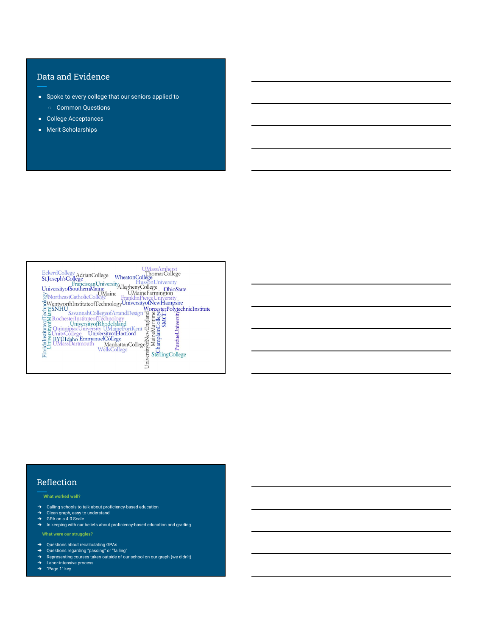### Data and Evidence

- Spoke to every college that our seniors applied to ○ Common Questions
- College Acceptances
- Merit Scholarships

| College Manhattan<br>College Sexual College Manhattan<br>College Sexual College Sexual College Sexual College Sexual College Sexual College Sexual College Sexual College Sexual College Sexual College Sexual College Sexual Colleg<br>Inivers |
|-------------------------------------------------------------------------------------------------------------------------------------------------------------------------------------------------------------------------------------------------|
|                                                                                                                                                                                                                                                 |

#### Reflection

#### **What worked well?**

- → Calling schools to talk about proficiency-based education<br>→ Clean graph, easy to understand<br>→ GPA on a 4.0 Scale
- 
- 
- ➔ In keeping with our beliefs about proficiency-based education and grading

#### **What were our struggles?**

- 
- 
- → Questions about recalculating GPAs<br>→ Questions regarding "passing" or "failing"<br>→ Representing courses taken outside of our school on our graph (we didn't)<br>→ Labor-intensive process<br>→ "Page 1" key
-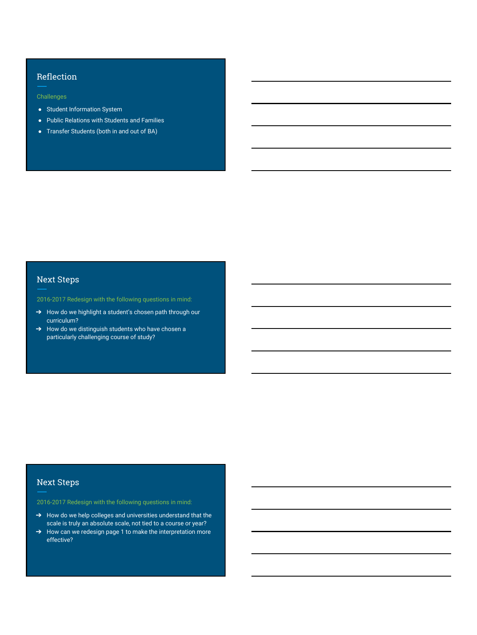#### Reflection

Challenges

- Student Information System
- Public Relations with Students and Families
- Transfer Students (both in and out of BA)

# Next Steps

2016-2017 Redesign with the following questions in mind:

- → How do we highlight a student's chosen path through our curriculum?
- → How do we distinguish students who have chosen a particularly challenging course of study?

#### Next Steps

2016-2017 Redesign with the following questions in mind:

- → How do we help colleges and universities understand that the scale is truly an absolute scale, not tied to a course or year?
- → How can we redesign page 1 to make the interpretation more effective?